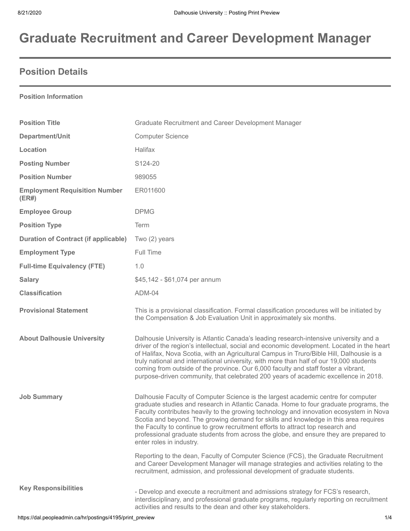# **Graduate Recruitment and Career Development Manager**

# **Position Details**

#### **Position Information**

| <b>Position Title</b>                         | Graduate Recruitment and Career Development Manager                                                                                                                                                                                                                                                                                                                                                                                                                                                                                                                  |  |  |
|-----------------------------------------------|----------------------------------------------------------------------------------------------------------------------------------------------------------------------------------------------------------------------------------------------------------------------------------------------------------------------------------------------------------------------------------------------------------------------------------------------------------------------------------------------------------------------------------------------------------------------|--|--|
| Department/Unit                               | <b>Computer Science</b>                                                                                                                                                                                                                                                                                                                                                                                                                                                                                                                                              |  |  |
| Location                                      | Halifax                                                                                                                                                                                                                                                                                                                                                                                                                                                                                                                                                              |  |  |
| <b>Posting Number</b>                         | S124-20                                                                                                                                                                                                                                                                                                                                                                                                                                                                                                                                                              |  |  |
| <b>Position Number</b>                        | 989055                                                                                                                                                                                                                                                                                                                                                                                                                                                                                                                                                               |  |  |
| <b>Employment Requisition Number</b><br>(ER#) | ER011600                                                                                                                                                                                                                                                                                                                                                                                                                                                                                                                                                             |  |  |
| <b>Employee Group</b>                         | <b>DPMG</b>                                                                                                                                                                                                                                                                                                                                                                                                                                                                                                                                                          |  |  |
| <b>Position Type</b>                          | Term                                                                                                                                                                                                                                                                                                                                                                                                                                                                                                                                                                 |  |  |
| <b>Duration of Contract (if applicable)</b>   | Two (2) years                                                                                                                                                                                                                                                                                                                                                                                                                                                                                                                                                        |  |  |
| <b>Employment Type</b>                        | Full Time                                                                                                                                                                                                                                                                                                                                                                                                                                                                                                                                                            |  |  |
| <b>Full-time Equivalency (FTE)</b>            | 1.0                                                                                                                                                                                                                                                                                                                                                                                                                                                                                                                                                                  |  |  |
| <b>Salary</b>                                 | \$45,142 - \$61,074 per annum                                                                                                                                                                                                                                                                                                                                                                                                                                                                                                                                        |  |  |
| <b>Classification</b>                         | ADM-04                                                                                                                                                                                                                                                                                                                                                                                                                                                                                                                                                               |  |  |
| <b>Provisional Statement</b>                  | This is a provisional classification. Formal classification procedures will be initiated by<br>the Compensation & Job Evaluation Unit in approximately six months.                                                                                                                                                                                                                                                                                                                                                                                                   |  |  |
| <b>About Dalhousie University</b>             | Dalhousie University is Atlantic Canada's leading research-intensive university and a<br>driver of the region's intellectual, social and economic development. Located in the heart<br>of Halifax, Nova Scotia, with an Agricultural Campus in Truro/Bible Hill, Dalhousie is a<br>truly national and international university, with more than half of our 19,000 students<br>coming from outside of the province. Our 6,000 faculty and staff foster a vibrant,<br>purpose-driven community, that celebrated 200 years of academic excellence in 2018.              |  |  |
| <b>Job Summary</b>                            | Dalhousie Faculty of Computer Science is the largest academic centre for computer<br>graduate studies and research in Atlantic Canada. Home to four graduate programs, the<br>Faculty contributes heavily to the growing technology and innovation ecosystem in Nova<br>Scotia and beyond. The growing demand for skills and knowledge in this area requires<br>the Faculty to continue to grow recruitment efforts to attract top research and<br>professional graduate students from across the globe, and ensure they are prepared to<br>enter roles in industry. |  |  |
|                                               | Reporting to the dean, Faculty of Computer Science (FCS), the Graduate Recruitment<br>and Career Development Manager will manage strategies and activities relating to the<br>recruitment, admission, and professional development of graduate students.                                                                                                                                                                                                                                                                                                             |  |  |
| <b>Key Responsibilities</b>                   | - Develop and execute a recruitment and admissions strategy for FCS's research,<br>interdisciplinary, and professional graduate programs, regularly reporting on recruitment<br>activities and results to the dean and other key stakeholders.                                                                                                                                                                                                                                                                                                                       |  |  |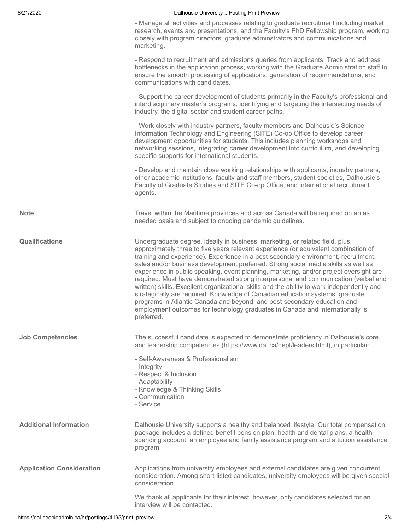|                                  | - Manage all activities and processes relating to graduate recruitment including market<br>research, events and presentations, and the Faculty's PhD Fellowship program, working<br>closely with program directors, graduate adminstrators and communications and<br>marketing.                                                                                                                                                                                                                                                                                                                                                                                                                                                                                                                                                                                                            |
|----------------------------------|--------------------------------------------------------------------------------------------------------------------------------------------------------------------------------------------------------------------------------------------------------------------------------------------------------------------------------------------------------------------------------------------------------------------------------------------------------------------------------------------------------------------------------------------------------------------------------------------------------------------------------------------------------------------------------------------------------------------------------------------------------------------------------------------------------------------------------------------------------------------------------------------|
|                                  | - Respond to recruitment and admissions queries from applicants. Track and address<br>bottlenecks in the application process, working with the Graduate Administration staff to<br>ensure the smooth processing of applications, generation of recommendations, and<br>communications with candidates.                                                                                                                                                                                                                                                                                                                                                                                                                                                                                                                                                                                     |
|                                  | - Support the career development of students primarily in the Faculty's professional and<br>interdisciplinary master's programs, identifying and targeting the intersecting needs of<br>industry, the digital sector and student career paths.                                                                                                                                                                                                                                                                                                                                                                                                                                                                                                                                                                                                                                             |
|                                  | - Work closely with industry partners, faculty members and Dalhousie's Science,<br>Information Technology and Engineering (SITE) Co-op Office to develop career<br>development opportunities for students. This includes planning workshops and<br>networking sessions, integrating career development into curriculum, and developing<br>specific supports for international students.                                                                                                                                                                                                                                                                                                                                                                                                                                                                                                    |
|                                  | - Develop and maintain close working relationships with applicants, industry partners,<br>other academic institutions, faculty and staff members, student societies, Dalhousie's<br>Faculty of Graduate Studies and SITE Co-op Office, and international recruitment<br>agents.                                                                                                                                                                                                                                                                                                                                                                                                                                                                                                                                                                                                            |
| <b>Note</b>                      | Travel within the Maritime provinces and across Canada will be required on an as<br>needed basis and subject to ongoing pandemic guidelines.                                                                                                                                                                                                                                                                                                                                                                                                                                                                                                                                                                                                                                                                                                                                               |
| <b>Qualifications</b>            | Undergraduate degree, ideally in business, marketing, or related field, plus<br>approximately three to five years relevant experience (or equivalent combination of<br>training and experience). Experience in a post-secondary environment, recruitment,<br>sales and/or business development preferred. Strong social media skills as well as<br>experience in public speaking, event planning, marketing, and/or project oversight are<br>required. Must have demonstrated strong interpersonal and communication (verbal and<br>written) skills. Excellent organizational skills and the ability to work independently and<br>strategically are required. Knowledge of Canadian education systems; graduate<br>programs in Atlantic Canada and beyond; and post-secondary education and<br>employment outcomes for technology graduates in Canada and internationally is<br>preferred. |
| <b>Job Competencies</b>          | The successful candidate is expected to demonstrate proficiency in Dalhousie's core<br>and leadership competencies (https://www.dal.ca/dept/leaders.html), in particular:                                                                                                                                                                                                                                                                                                                                                                                                                                                                                                                                                                                                                                                                                                                  |
|                                  | - Self-Awareness & Professionalism<br>- Integrity<br>- Respect & Inclusion<br>- Adaptability<br>- Knowledge & Thinking Skills<br>- Communication<br>- Service                                                                                                                                                                                                                                                                                                                                                                                                                                                                                                                                                                                                                                                                                                                              |
| <b>Additional Information</b>    | Dalhousie University supports a healthy and balanced lifestyle. Our total compensation<br>package includes a defined benefit pension plan, health and dental plans, a health<br>spending account, an employee and family assistance program and a tuition assistance<br>program.                                                                                                                                                                                                                                                                                                                                                                                                                                                                                                                                                                                                           |
| <b>Application Consideration</b> | Applications from university employees and external candidates are given concurrent<br>consideration. Among short-listed candidates, university employees will be given special<br>consideration.                                                                                                                                                                                                                                                                                                                                                                                                                                                                                                                                                                                                                                                                                          |
|                                  | We thank all applicants for their interest, however, only candidates selected for an<br>interview will be contacted.                                                                                                                                                                                                                                                                                                                                                                                                                                                                                                                                                                                                                                                                                                                                                                       |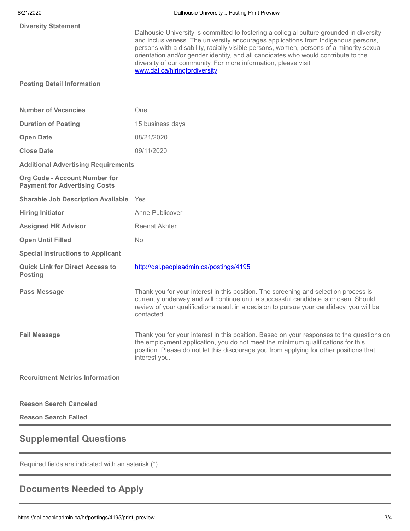| <b>Diversity Statement</b>                                                   | Dalhousie University is committed to fostering a collegial culture grounded in diversity<br>and inclusiveness. The university encourages applications from Indigenous persons,<br>persons with a disability, racially visible persons, women, persons of a minority sexual<br>orientation and/or gender identity, and all candidates who would contribute to the<br>diversity of our community. For more information, please visit<br>www.dal.ca/hiringfordiversity. |  |  |
|------------------------------------------------------------------------------|----------------------------------------------------------------------------------------------------------------------------------------------------------------------------------------------------------------------------------------------------------------------------------------------------------------------------------------------------------------------------------------------------------------------------------------------------------------------|--|--|
| <b>Posting Detail Information</b>                                            |                                                                                                                                                                                                                                                                                                                                                                                                                                                                      |  |  |
| <b>Number of Vacancies</b>                                                   | One                                                                                                                                                                                                                                                                                                                                                                                                                                                                  |  |  |
| <b>Duration of Posting</b>                                                   | 15 business days                                                                                                                                                                                                                                                                                                                                                                                                                                                     |  |  |
| <b>Open Date</b>                                                             | 08/21/2020                                                                                                                                                                                                                                                                                                                                                                                                                                                           |  |  |
| <b>Close Date</b>                                                            | 09/11/2020                                                                                                                                                                                                                                                                                                                                                                                                                                                           |  |  |
| <b>Additional Advertising Requirements</b>                                   |                                                                                                                                                                                                                                                                                                                                                                                                                                                                      |  |  |
| <b>Org Code - Account Number for</b><br><b>Payment for Advertising Costs</b> |                                                                                                                                                                                                                                                                                                                                                                                                                                                                      |  |  |
| <b>Sharable Job Description Available</b> Yes                                |                                                                                                                                                                                                                                                                                                                                                                                                                                                                      |  |  |
| <b>Hiring Initiator</b>                                                      | Anne Publicover                                                                                                                                                                                                                                                                                                                                                                                                                                                      |  |  |
| <b>Assigned HR Advisor</b>                                                   | <b>Reenat Akhter</b>                                                                                                                                                                                                                                                                                                                                                                                                                                                 |  |  |
| <b>Open Until Filled</b>                                                     | <b>No</b>                                                                                                                                                                                                                                                                                                                                                                                                                                                            |  |  |
| <b>Special Instructions to Applicant</b>                                     |                                                                                                                                                                                                                                                                                                                                                                                                                                                                      |  |  |
| <b>Quick Link for Direct Access to</b><br><b>Posting</b>                     | http://dal.peopleadmin.ca/postings/4195                                                                                                                                                                                                                                                                                                                                                                                                                              |  |  |
| <b>Pass Message</b>                                                          | Thank you for your interest in this position. The screening and selection process is<br>currently underway and will continue until a successful candidate is chosen. Should<br>review of your qualifications result in a decision to pursue your candidacy, you will be<br>contacted.                                                                                                                                                                                |  |  |
| <b>Fail Message</b>                                                          | Thank you for your interest in this position. Based on your responses to the questions on<br>the employment application, you do not meet the minimum qualifications for this<br>position. Please do not let this discourage you from applying for other positions that<br>interest you.                                                                                                                                                                              |  |  |
| <b>Recruitment Metrics Information</b>                                       |                                                                                                                                                                                                                                                                                                                                                                                                                                                                      |  |  |
| <b>Reason Search Canceled</b>                                                |                                                                                                                                                                                                                                                                                                                                                                                                                                                                      |  |  |

**Reason Search Failed**

# **Supplemental Questions**

Required fields are indicated with an asterisk (\*).

# **Documents Needed to Apply**